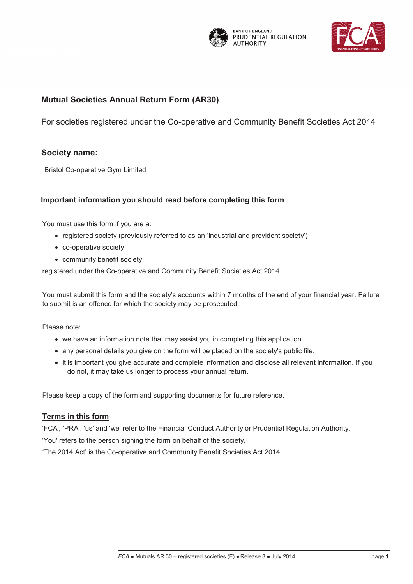

**BANK OF ENGLAND** PRUDENTIAL REGULATION **AUTHORITY** 



# **Mutual Societies Annual Return Mutual Societies Annual Return Form (AR30)**

For societies registered under the Co-operative and Community Benefit Societies Act 2014

# **Society name:**

Bristol Co-operative Gym Limited

# **Important information you should read before completing this form**

You must use this form if you are a:

- · registered society (previously referred to as an 'industrial and provident society')
- · co-operative society
- · community benefit society

registered under the Co-operative and Community Benefit Societies Act 2014.

You must submit this form and the society's accounts within 7 months of the end of your financial year. Failure to submit is an offence for which the society may be prosecuted.

Please note:

- · we have an information note that may assist you in completing this application
- · any personal details you give on the form will be placed on the society's public file.
- · it is important you give accurate and complete information and disclose all relevant information. If you do not, it may take us longer to process your annual return.

Please keep a copy of the form and supporting documents for future reference.

# **Terms in this form**

'FCA', 'PRA', 'us' and 'we' refer to the Financial Conduct Authority or Prudential Regulation Authority. 'You' refers to the person signing the form on behalf of the society.

'The 2014 Act' is the Co-operative and Community Benefit Societies Act 2014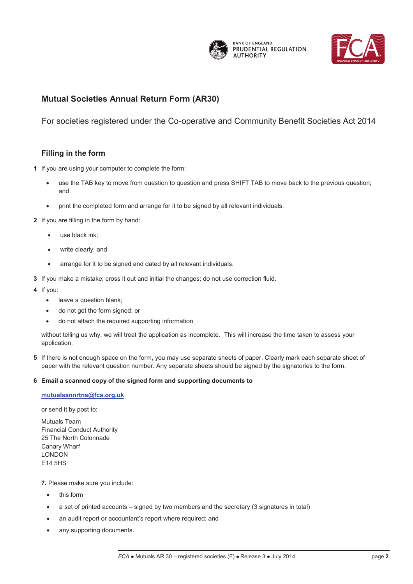

**BANK OF ENGLAND** PRUDENTIAL REGULATION **AUTHORITY** 



# **Mutual Societies Annual Return Mutual Societies Annual Return Form (AR30)**

**AR 30 –and Provident Societies**  For societies registered under the Co-operative and Community Benefit Societies Act 2014

# **Filling in the form**

- **1** If you are using your computer to complete the form:
	- use the TAB key to move from question to question and press SHIFT TAB to move back to the previous question; and
	- · print the completed form and arrange for it to be signed by all relevant individuals.
- **2** If you are filling in the form by hand:
	- use black ink;
	- write clearly; and
	- · arrange for it to be signed and dated by all relevant individuals.
- **3** If you make a mistake, cross it out and initial the changes; do not use correction fluid.
- **4** If you:
	- · leave a question blank;
	- do not get the form signed; or
	- do not attach the required supporting information

without telling us why, we will treat the application as incomplete. This will increase the time taken to assess your application.

**5** If there is not enough space on the form, you may use separate sheets of paper. Clearly mark each separate sheet of paper with the relevant question number. Any separate sheets should be signed by the signatories to the form.

#### **6 Email a scanned copy of the signed form and supporting documents to**

#### **mutualsannrtns@fca.org.uk**

or send it by post to:

Mutuals Team Financial Conduct Authority 25 The North Colonnade Canary Wharf LONDON E14 5HS

#### **7.** Please make sure you include:

- this form
- a set of printed accounts signed by two members and the secretary (3 signatures in total)
- an audit report or accountant's report where required; and
- any supporting documents.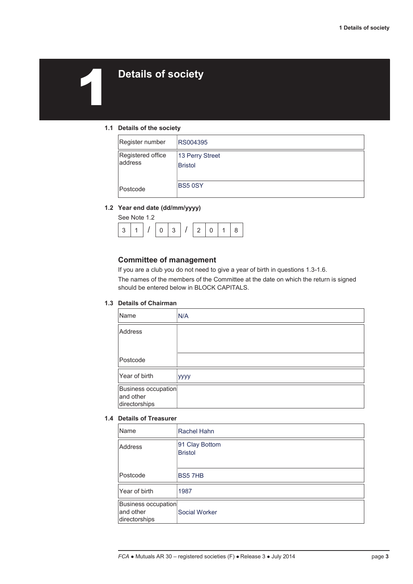# 1 **Details of society**

#### **1.1 Details of the society**

| Register number              | RS004395                          |
|------------------------------|-----------------------------------|
| Registered office<br>address | 13 Perry Street<br><b>Bristol</b> |
| Postcode                     | <b>BS5 0SY</b>                    |

#### **1.2 Year end date (dd/mm/yyyy)**

| See Note 1.2 |          |   |               |  |  |
|--------------|----------|---|---------------|--|--|
|              | $\Omega$ | 2 | $\mathcal{L}$ |  |  |

#### **Committee of management**

If you are a club you do not need to give a year of birth in questions 1.3-1.6. The names of the members of the Committee at the date on which the return is signed should be entered below in BLOCK CAPITALS.

#### **1.3 Details of Chairman**

| Name                                              | N/A  |
|---------------------------------------------------|------|
| <b>Address</b>                                    |      |
|                                                   |      |
| Postcode                                          |      |
| Year of birth                                     | уууу |
| Business occupation<br>and other<br>directorships |      |

#### **1.4 Details of Treasurer**

| Name                                              | Rachel Hahn                      |
|---------------------------------------------------|----------------------------------|
| Address                                           | 91 Clay Bottom<br><b>Bristol</b> |
| Postcode                                          | <b>BS57HB</b>                    |
| Year of birth                                     | 1987                             |
| Business occupation<br>and other<br>directorships | <b>Social Worker</b>             |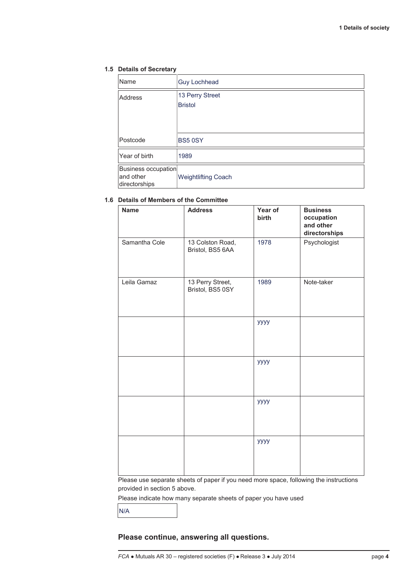#### **1.5 Details of Secretary**

| Name                                              | <b>Guy Lochhead</b>               |
|---------------------------------------------------|-----------------------------------|
| Address                                           | 13 Perry Street<br><b>Bristol</b> |
| Postcode                                          | <b>BS5 0SY</b>                    |
| Year of birth                                     | 1989                              |
| Business occupation<br>and other<br>directorships | <b>Weightlifting Coach</b>        |

#### **1.6 Details of Members of the Committee**

| <b>Name</b>   | <b>Address</b>                       | Year of<br>birth | <b>Business</b><br>occupation<br>and other<br>directorships |
|---------------|--------------------------------------|------------------|-------------------------------------------------------------|
| Samantha Cole | 13 Colston Road,<br>Bristol, BS5 6AA | 1978             | Psychologist                                                |
| Leila Gamaz   | 13 Perry Street,<br>Bristol, BS5 0SY | 1989             | Note-taker                                                  |
|               |                                      | уууу             |                                                             |
|               |                                      | уууу             |                                                             |
|               |                                      | уууу             |                                                             |
|               |                                      | уууу             |                                                             |

Please use separate sheets of paper if you need more space, following the instructions provided in section 5 above.

Please indicate how many separate sheets of paper you have used

N/A

## **Please continue, answering all questions.**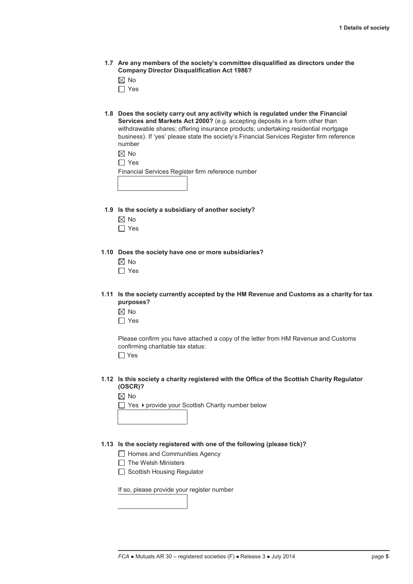**1.7 Are any members of the society's committee disqualified as directors under the Company Director Disqualification Act 1986?** 

 $\boxtimes$  No

- $\Box$  Yes
- **1.8 Does the society carry out any activity which is regulated under the Financial Services and Markets Act 2000?** (e.g. accepting deposits in a form other than withdrawable shares; offering insurance products; undertaking residential mortgage business). If 'yes' please state the society's Financial Services Register firm reference number

|--|--|

| -- |
|----|
|----|

Financial Services Register firm reference number

- **1.9 Is the society a subsidiary of another society?** 
	- $\boxtimes$  No
	- $\Box$  Yes

 **1.10 Does the society have one or more subsidiaries?** 

- $\boxtimes$  No
- $\Box$  Yes
- **1.11 Is the society currently accepted by the HM Revenue and Customs as a charity for tax purposes?** 
	- $\boxtimes$  No
	- □ Yes

Please confirm you have attached a copy of the letter from HM Revenue and Customs confirming charitable tax status:

 $\Box$  Yes

 **1.12 Is this society a charity registered with the Office of the Scottish Charity Regulator (OSCR)?** 

|--|--|

 $\Box$  Yes  $\rightarrow$  provide your Scottish Charity number below

#### **1.13 Is the society registered with one of the following (please tick)?**

 $\Box$  Homes and Communities Agency

- $\Box$  The Welsh Ministers
- Scottish Housing Regulator

If so, please provide your register number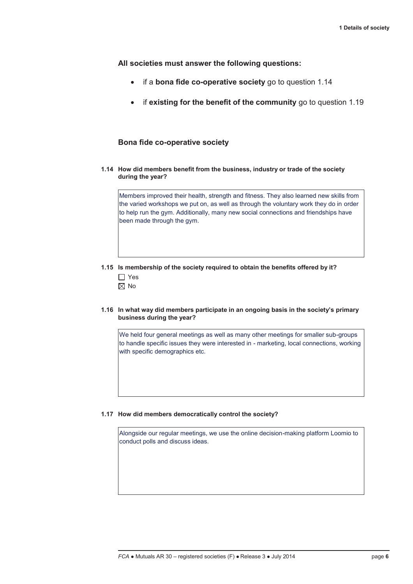**All societies must answer the following questions:** 

- · if a **bona fide co-operative society** go to question 1.14
- · if **existing for the benefit of the community** go to question 1.19

#### **Bona fide co-operative society**

 **1.14 How did members benefit from the business, industry or trade of the society during the year?** 

Members improved their health, strength and fitness. They also learned new skills from the varied workshops we put on, as well as through the voluntary work they do in order to help run the gym. Additionally, many new social connections and friendships have been made through the gym.

# **1.15 Is membership of the society required to obtain the benefits offered by it?**  □ Yes

- $\boxtimes$  No
- **1.16 In what way did members participate in an ongoing basis in the society's primary business during the year?**

We held four general meetings as well as many other meetings for smaller sub-groups to handle specific issues they were interested in - marketing, local connections, working with specific demographics etc.

#### **1.17 How did members democratically control the society?**

Alongside our regular meetings, we use the online decision-making platform Loomio to conduct polls and discuss ideas.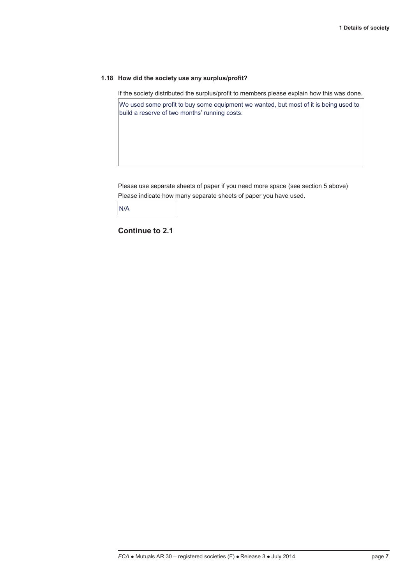#### **1.18 How did the society use any surplus/profit?**

If the society distributed the surplus/profit to members please explain how this was done.

We used some profit to buy some equipment we wanted, but most of it is being used to build a reserve of two months' running costs.

Please use separate sheets of paper if you need more space (see section 5 above) Please indicate how many separate sheets of paper you have used.

N/A

**Continue to 2.1**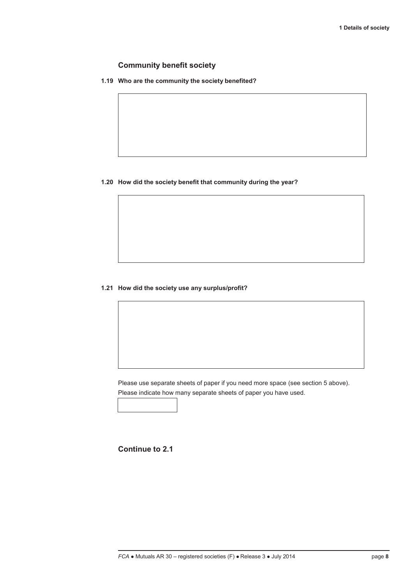## **Community benefit society**

 $\overline{\phantom{a}}$ 

 **1.19 Who are the community the society benefited?** 

#### **1.20 How did the society benefit that community during the year?**

#### **1.21 How did the society use any surplus/profit?**

Please use separate sheets of paper if you need more space (see section 5 above). Please indicate how many separate sheets of paper you have used.

**Continue to 2.1**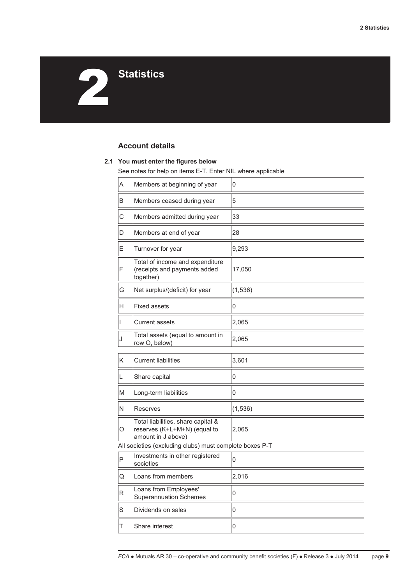**2** Statistics

# **Account details**

#### **2.1 You must enter the figures below**

See notes for help on items E-T. Enter NIL where applicable

| A | Members at beginning of year                                                             | 0        |  |  |  |
|---|------------------------------------------------------------------------------------------|----------|--|--|--|
| B | Members ceased during year                                                               | 5        |  |  |  |
| C | Members admitted during year                                                             | 33       |  |  |  |
| D | Members at end of year                                                                   | 28       |  |  |  |
| Ε | Turnover for year                                                                        | 9,293    |  |  |  |
| F | Total of income and expenditure<br>(receipts and payments added<br>together)             | 17,050   |  |  |  |
| G | Net surplus/(deficit) for year                                                           | (1, 536) |  |  |  |
| H | <b>Fixed assets</b>                                                                      | 0        |  |  |  |
| L | <b>Current assets</b>                                                                    | 2,065    |  |  |  |
| J | Total assets (equal to amount in<br>row O, below)                                        | 2,065    |  |  |  |
| Κ | Current liabilities                                                                      | 3,601    |  |  |  |
| L | Share capital                                                                            | 0        |  |  |  |
| M | Long-term liabilities                                                                    | 0        |  |  |  |
| N | Reserves                                                                                 | (1, 536) |  |  |  |
| O | Total liabilities, share capital &<br>reserves (K+L+M+N) (equal to<br>amount in J above) | 2,065    |  |  |  |
|   | All societies (excluding clubs) must complete boxes P-T                                  |          |  |  |  |
| P | Investments in other registered<br>societies                                             | 0        |  |  |  |
| Q | Loans from members                                                                       | 2,016    |  |  |  |
| R | Loans from Employees'<br><b>Superannuation Schemes</b>                                   | 0        |  |  |  |
| S | Dividends on sales                                                                       | 0        |  |  |  |
| Τ | Share interest                                                                           | 0        |  |  |  |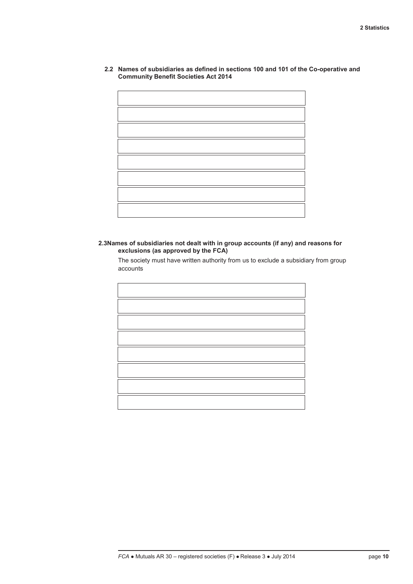**2.2 Names of subsidiaries as defined in sections 100 and 101 of the Co-operative and Community Benefit Societies Act 2014** 

**2.3Names of subsidiaries not dealt with in group accounts (if any) and reasons for exclusions (as approved by the FCA)** 

The society must have written authority from us to exclude a subsidiary from group accounts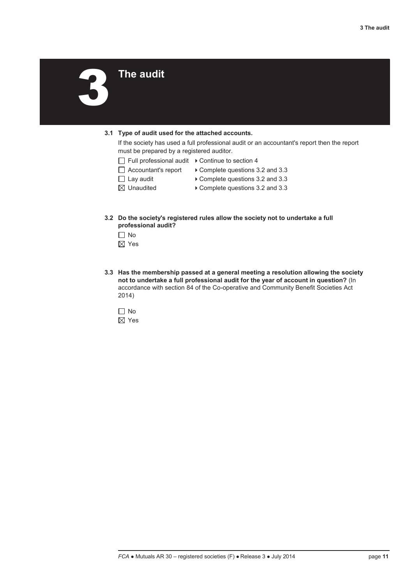3 **The audit** 

#### **3.1 Type of audit used for the attached accounts.**

If the society has used a full professional audit or an accountant's report then the report must be prepared by a registered auditor.

- $\Box$  Full professional audit  $\rightarrow$  Continue to section 4
- $\Box$  Accountant's report  $\rightarrow$  Complete questions 3.2 and 3.3
- $\Box$  Lay audit  $\Box$  Complete questions 3.2 and 3.3
- 
- $\boxtimes$  Unaudited  $\longrightarrow$  Complete questions 3.2 and 3.3
- **3.2 Do the society's registered rules allow the society not to undertake a full professional audit?** 
	- $\Box$  No
	- $\boxtimes$  Yes
- **3.3 Has the membership passed at a general meeting a resolution allowing the society not to undertake a full professional audit for the year of account in question?** (In accordance with section 84 of the Co-operative and Community Benefit Societies Act 2014)

 $\Box$  No Yes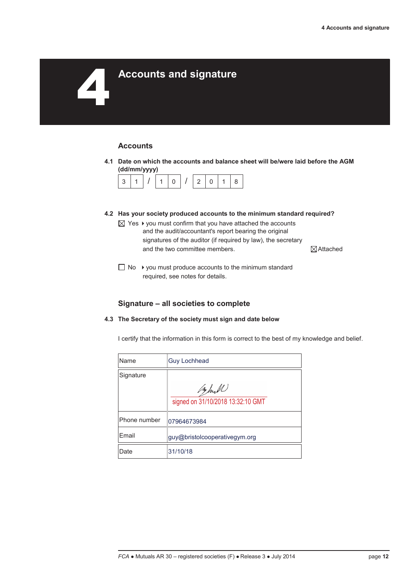# 4 **Accounts and signature**

# **Accounts**

 **4.1 Date on which the accounts and balance sheet will be/were laid before the AGM (dd/mm/yyyy)** 



- **4.2 Has your society produced accounts to the minimum standard required?** 
	- $\boxtimes$  Yes  $\blacktriangleright$  you must confirm that you have attached the accounts and the audit/accountant's report bearing the original signatures of the auditor (if required by law), the secretary and the two committee members.  $\Box$   $\Box$  Attached

 $\Box$  No  $\rightarrow$  you must produce accounts to the minimum standard required, see notes for details.

#### **Signature – all societies to complete**

 **4.3 The Secretary of the society must sign and date below** 

I certify that the information in this form is correct to the best of my knowledge and belief.

| Name          | <b>Guy Lochhead</b>               |
|---------------|-----------------------------------|
| Signature     |                                   |
|               | Bull                              |
|               | signed on 31/10/2018 13:32:10 GMT |
| Phone number  | 07964673984                       |
| <b>F</b> mail | guy@bristolcooperativegym.org     |
| Date          | 31/10/18                          |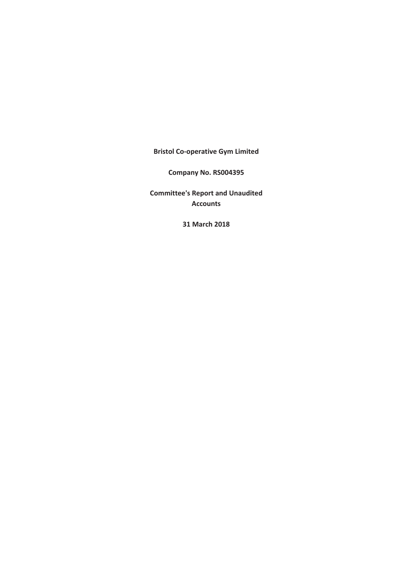**Bristol Co-operative Gym Limited**

**Company No. RS004395**

**Committee's Report and Unaudited Accounts**

**31 March 2018**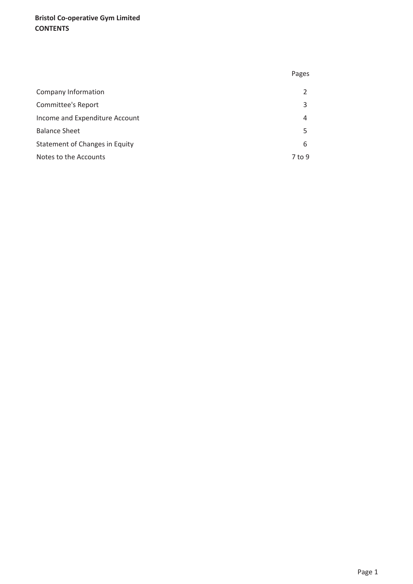# **Bristol Co-operative Gym Limited CONTENTS**

|                                | Pages  |
|--------------------------------|--------|
| Company Information            |        |
| Committee's Report             | 3      |
| Income and Expenditure Account | 4      |
| <b>Balance Sheet</b>           | 5      |
| Statement of Changes in Equity | 6      |
| Notes to the Accounts          | 7 to 9 |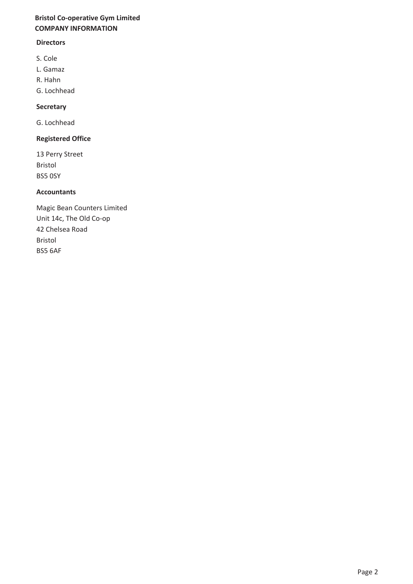# **Bristol Co-operative Gym Limited COMPANY INFORMATION**

# **Directors**

- S. Cole
- L. Gamaz
- R. Hahn
- G. Lochhead

## **Secretary**

G. Lochhead

# **Registered Office**

13 Perry Street Bristol BS5 0SY

## **Accountants**

Magic Bean Counters Limited Unit 14c, The Old Co-op 42 Chelsea Road Bristol BS5 6AF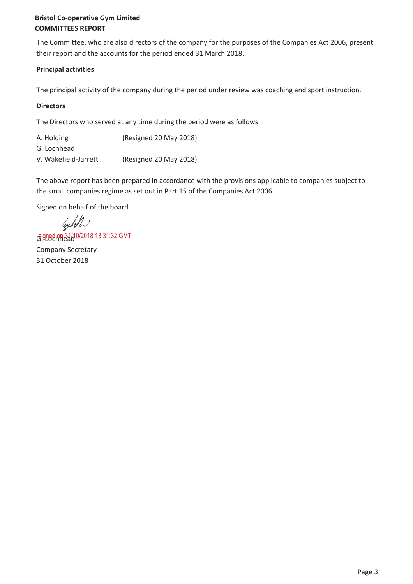# **Bristol Co-operative Gym Limited COMMITTEES REPORT**

The Committee, who are also directors of the company for the purposes of the Companies Act 2006, present their report and the accounts for the period ended 31 March 2018.

# **Principal activities**

The principal activity of the company during the period under review was coaching and sport instruction.

# **Directors**

The Directors who served at any time during the period were as follows:

| A. Holding           | (Resigned 20 May 2018) |
|----------------------|------------------------|
| G. Lochhead          |                        |
| V. Wakefield-Jarrett | (Resigned 20 May 2018) |

The above report has been prepared in accordance with the provisions applicable to companies subject to the small companies regime as set out in Part 15 of the Companies Act 2006.

Signed on behalf of the board

leyell

G. G. 2006 C. Local GMT G. 2018 13:31:32 GMT Company Secretary 31 October 2018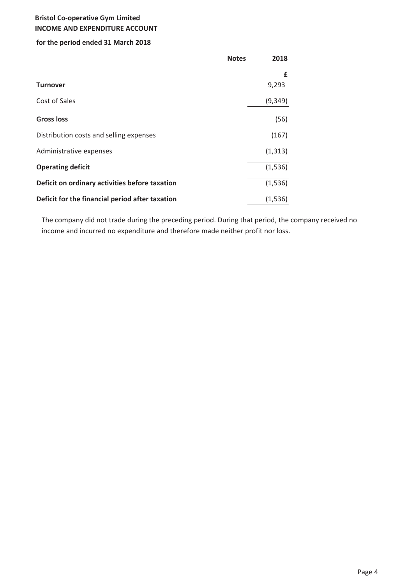# **Bristol Co-operative Gym Limited INCOME AND EXPENDITURE ACCOUNT**

# **for the period ended 31 March 2018**

|                                                 | <b>Notes</b> | 2018     |  |
|-------------------------------------------------|--------------|----------|--|
|                                                 |              | £        |  |
| <b>Turnover</b>                                 |              | 9,293    |  |
| Cost of Sales                                   |              | (9, 349) |  |
| <b>Gross loss</b>                               |              | (56)     |  |
| Distribution costs and selling expenses         |              | (167)    |  |
| Administrative expenses                         |              | (1, 313) |  |
| <b>Operating deficit</b>                        |              | (1,536)  |  |
| Deficit on ordinary activities before taxation  |              | (1,536)  |  |
| Deficit for the financial period after taxation |              | (1,536)  |  |

The company did not trade during the preceding period. During that period, the company received no income and incurred no expenditure and therefore made neither profit nor loss.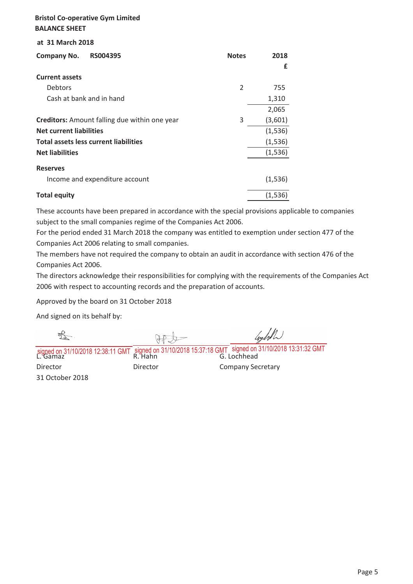# **Bristol Co-operative Gym Limited BALANCE SHEET**

#### **at 31 March 2018**

| RS004395<br><b>Company No.</b>                       | <b>Notes</b>   | 2018    |
|------------------------------------------------------|----------------|---------|
|                                                      |                | £       |
| <b>Current assets</b>                                |                |         |
| <b>Debtors</b>                                       | $\overline{2}$ | 755     |
| Cash at bank and in hand                             |                | 1,310   |
|                                                      |                | 2,065   |
| <b>Creditors:</b> Amount falling due within one year | 3              | (3,601) |
| <b>Net current liabilities</b>                       |                | (1,536) |
| <b>Total assets less current liabilities</b>         |                | (1,536) |
| <b>Net liabilities</b>                               |                | (1,536) |
| <b>Reserves</b>                                      |                |         |
| Income and expenditure account                       |                | (1,536) |
| <b>Total equity</b>                                  |                | (1,536) |

These accounts have been prepared in accordance with the special provisions applicable to companies subject to the small companies regime of the Companies Act 2006.

For the period ended 31 March 2018 the company was entitled to exemption under section 477 of the Companies Act 2006 relating to small companies.

The members have not required the company to obtain an audit in accordance with section 476 of the Companies Act 2006.

The directors acknowledge their responsibilities for complying with the requirements of the Companies Act 2006 with respect to accounting records and the preparation of accounts.

Approved by the board on 31 October 2018

And signed on its behalf by:

| signed on 31/10/2018 12:38:11 GMT signed on 31/10/2018 15:37:18 GMT signed on 31/10/2018 13:31:32 GMT<br>L. Gamaz |  |
|-------------------------------------------------------------------------------------------------------------------|--|

31 October 2018

Director **Director** Director **Company Secretary**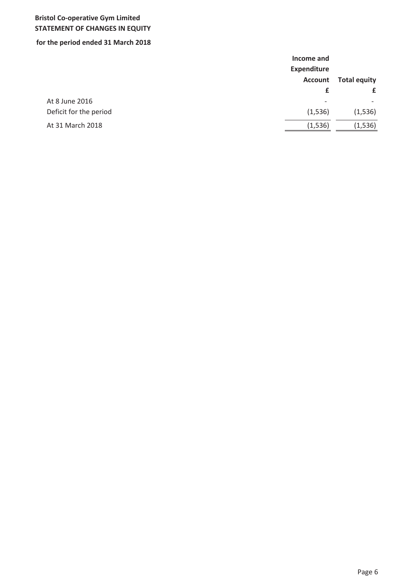# **Bristol Co-operative Gym Limited STATEMENT OF CHANGES IN EQUITY**

# **for the period ended 31 March 2018**

|                        | Income and<br><b>Expenditure</b> |                          |
|------------------------|----------------------------------|--------------------------|
|                        | <b>Account</b>                   | <b>Total equity</b>      |
|                        | £                                | £                        |
| At 8 June 2016         | $\overline{\phantom{a}}$         | $\overline{\phantom{a}}$ |
| Deficit for the period | (1,536)                          | (1,536)                  |
| At 31 March 2018       | (1,536)                          | (1, 536)                 |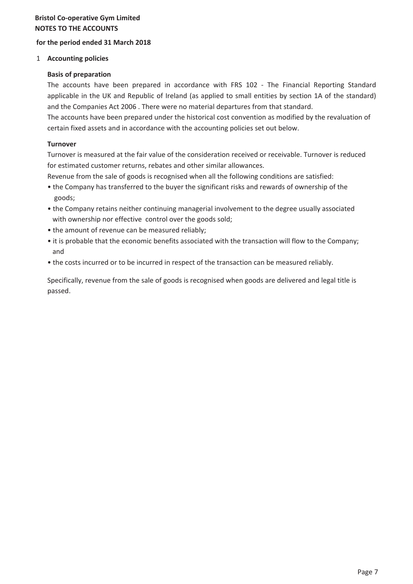# **Bristol Co-operative Gym Limited NOTES TO THE ACCOUNTS**

# **for the period ended 31 March 2018**

#### 1 **Accounting policies**

#### **Basis of preparation**

The accounts have been prepared in accordance with FRS 102 - The Financial Reporting Standard applicable in the UK and Republic of Ireland (as applied to small entities by section 1A of the standard) and the Companies Act 2006 . There were no material departures from that standard.

The accounts have been prepared under the historical cost convention as modified by the revaluation of certain fixed assets and in accordance with the accounting policies set out below.

# **Turnover**

Turnover is measured at the fair value of the consideration received or receivable. Turnover is reduced for estimated customer returns, rebates and other similar allowances.

Revenue from the sale of goods is recognised when all the following conditions are satisfied:

- the Company has transferred to the buyer the significant risks and rewards of ownership of the goods;
- the Company retains neither continuing managerial involvement to the degree usually associated with ownership nor effective control over the goods sold;
- the amount of revenue can be measured reliably;
- it is probable that the economic benefits associated with the transaction will flow to the Company; and
- the costs incurred or to be incurred in respect of the transaction can be measured reliably.

Specifically, revenue from the sale of goods is recognised when goods are delivered and legal title is passed.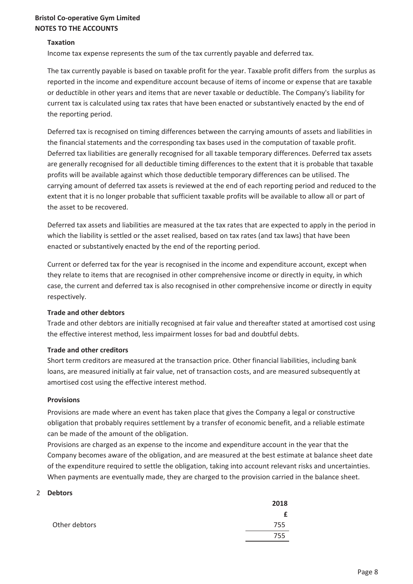# **Bristol Co-operative Gym Limited NOTES TO THE ACCOUNTS**

#### **Taxation**

Income tax expense represents the sum of the tax currently payable and deferred tax.

The tax currently payable is based on taxable profit for the year. Taxable profit differs from the surplus as reported in the income and expenditure account because of items of income or expense that are taxable or deductible in other years and items that are never taxable or deductible. The Company's liability for current tax is calculated using tax rates that have been enacted or substantively enacted by the end of the reporting period.

Deferred tax is recognised on timing differences between the carrying amounts of assets and liabilities in the financial statements and the corresponding tax bases used in the computation of taxable profit. Deferred tax liabilities are generally recognised for all taxable temporary differences. Deferred tax assets are generally recognised for all deductible timing differences to the extent that it is probable that taxable profits will be available against which those deductible temporary differences can be utilised. The carrying amount of deferred tax assets is reviewed at the end of each reporting period and reduced to the extent that it is no longer probable that sufficient taxable profits will be available to allow all or part of the asset to be recovered.

Deferred tax assets and liabilities are measured at the tax rates that are expected to apply in the period in which the liability is settled or the asset realised, based on tax rates (and tax laws) that have been enacted or substantively enacted by the end of the reporting period.

Current or deferred tax for the year is recognised in the income and expenditure account, except when they relate to items that are recognised in other comprehensive income or directly in equity, in which case, the current and deferred tax is also recognised in other comprehensive income or directly in equity respectively.

#### **Trade and other debtors**

Trade and other debtors are initially recognised at fair value and thereafter stated at amortised cost using the effective interest method, less impairment losses for bad and doubtful debts.

#### **Trade and other creditors**

Short term creditors are measured at the transaction price. Other financial liabilities, including bank loans, are measured initially at fair value, net of transaction costs, and are measured subsequently at amortised cost using the effective interest method.

#### **Provisions**

Provisions are made where an event has taken place that gives the Company a legal or constructive obligation that probably requires settlement by a transfer of economic benefit, and a reliable estimate can be made of the amount of the obligation.

Provisions are charged as an expense to the income and expenditure account in the year that the Company becomes aware of the obligation, and are measured at the best estimate at balance sheet date of the expenditure required to settle the obligation, taking into account relevant risks and uncertainties. When payments are eventually made, they are charged to the provision carried in the balance sheet.

#### 2 **Debtors**

|               | 2018 |
|---------------|------|
|               | f    |
| Other debtors | 755  |
|               | 755  |
|               |      |